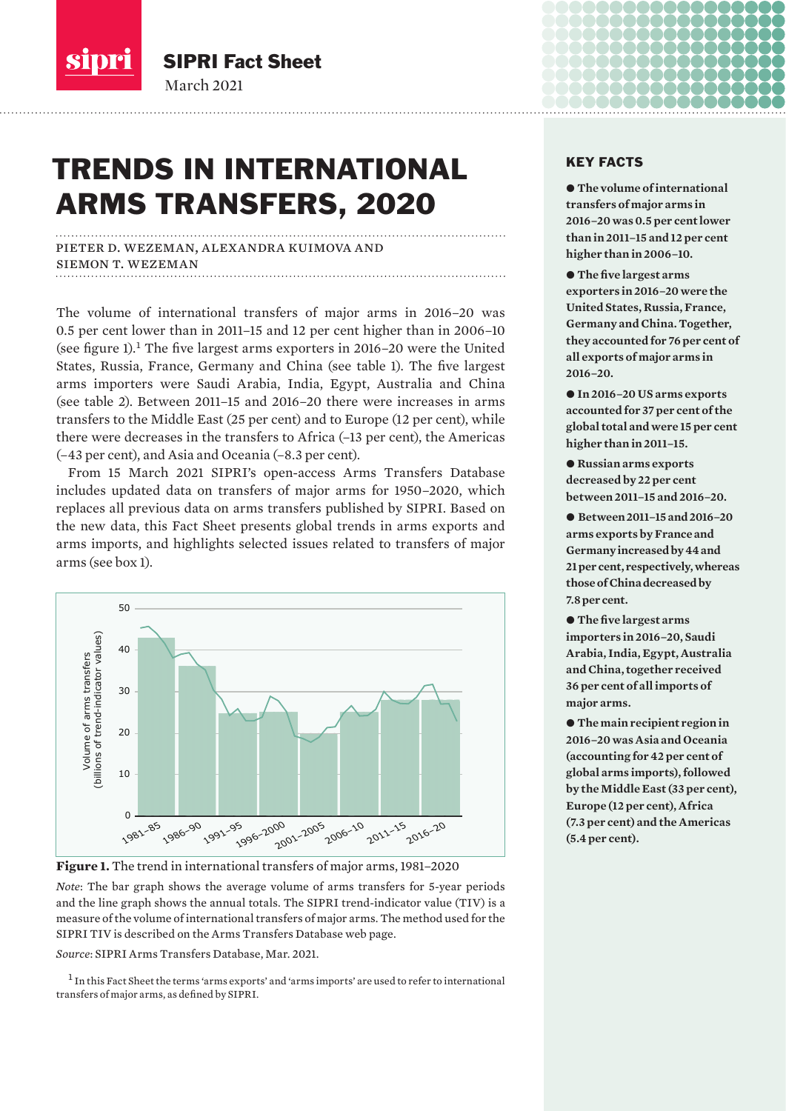

March 2021

SIPRI Fact Sheet

# TRENDS IN INTERNATIONAL ARMS TRANSFERS, 2020

pieter d. wezeman, alexandra kuimova and siemon t. wezeman

The volume of international transfers of major arms in 2016–20 was 0.5 per cent lower than in 2011–15 and 12 per cent higher than in 2006–10 (see figure 1).<sup>1</sup> The five largest arms exporters in 2016–20 were the United States, Russia, France, Germany and China (see table 1). The five largest arms importers were Saudi Arabia, India, Egypt, Australia and China (see table 2). Between 2011–15 and 2016–20 there were increases in arms transfers to the Middle East (25 per cent) and to Europe (12 per cent), while there were decreases in the transfers to Africa (–13 per cent), the Americas (–43 per cent), and Asia and Oceania (–8.3 per cent).

From 15 March 2021 SIPRI's open-access Arms Transfers Database includes updated data on transfers of major arms for 1950–2020, which replaces all previous data on arms transfers published by SIPRI. Based on the new data, this Fact Sheet presents global trends in arms exports and arms imports, and highlights selected issues related to transfers of major arms (see box 1).



**Figure 1.** The trend in international transfers of major arms, 1981–2020

*Note*: The bar graph shows the average volume of arms transfers for 5-year periods and the line graph shows the annual totals. The SIPRI trend-indicator value (TIV) is a measure of the volume of international transfers of major arms. The method used for the SIPRI TIV is described on the [Arms Transfers Database web page](https://www.sipri.org/databases/armstransfers).

<sup>1</sup> In this Fact Sheet the terms 'arms exports' and 'arms imports' are used to refer to international transfers of major arms, as defined by SIPRI.

## KEY FACTS

 $\bullet$  **The volume of international transfers of major arms in 2016–20 was 0.5 per cent lower than in 2011–15 and 12 per cent higher than in 2006–10.**

 $\bullet$  The five largest arms **exporters in 2016–20 were the United States, Russia, France, Germany and China. Together, they accounted for 76 per cent of all exports of major arms in 2016–20.**

● In 2016–20 US arms exports **accounted for 37 per cent of the global total and were 15 per cent higher than in 2011–15.** 

 $\bullet$  Russian arms exports **decreased by 22 per cent between 2011–15 and 2016–20.**

● Between 2011–15 and 2016–20 **arms exports by France and Germany increased by 44 and 21 per cent, respectively, whereas those of China decreased by 7.8 per cent.**

 $\bullet$  The five largest arms **importers in 2016–20, Saudi Arabia, India, Egypt, Australia and China, together received 36 per cent of all imports of major arms.**

 $\bullet$  The main recipient region in **2016–20 was Asia and Oceania (accounting for 42 per cent of global arms imports), followed by the Middle East (33 per cent), Europe (12 per cent), Africa (7.3 per cent) and the Americas (5.4 per cent).**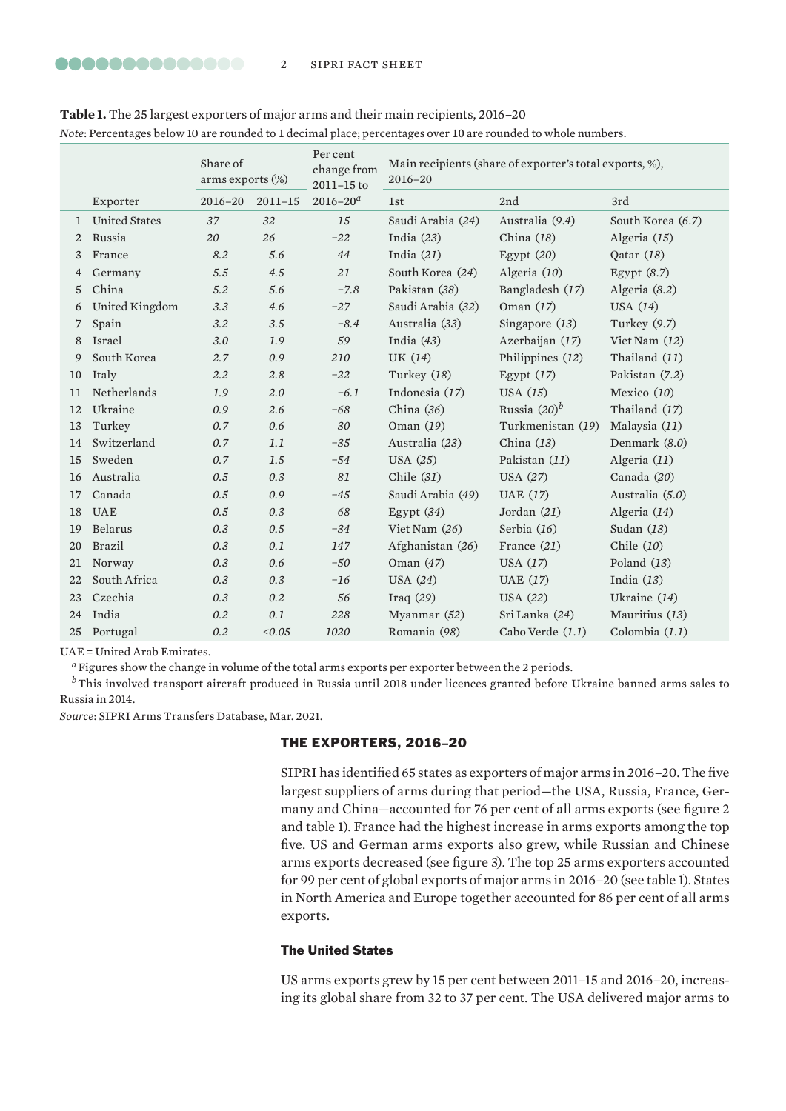| Note: Percentages below 10 are rounded to 1 decimal place; percentages over 10 are rounded to whole numbers. |                      |                                 |             |                                       |                                                                        |                   |                   |  |
|--------------------------------------------------------------------------------------------------------------|----------------------|---------------------------------|-------------|---------------------------------------|------------------------------------------------------------------------|-------------------|-------------------|--|
|                                                                                                              |                      | Share of<br>arms exports $(\%)$ |             | Per cent<br>change from<br>2011-15 to | Main recipients (share of exporter's total exports, %),<br>$2016 - 20$ |                   |                   |  |
|                                                                                                              | Exporter             | $2016 - 20$                     | $2011 - 15$ | $2016 - 20a$                          | <b>1st</b>                                                             | 2nd               | 3rd               |  |
| 1                                                                                                            | <b>United States</b> | 37                              | 32          | 15                                    | Saudi Arabia (24)                                                      | Australia (9.4)   | South Korea (6.7) |  |
| 2                                                                                                            | Russia               | 20                              | 26          | $-22$                                 | India $(23)$                                                           | China $(18)$      | Algeria $(15)$    |  |
| 3                                                                                                            | France               | 8.2                             | 5.6         | 44                                    | India $(21)$                                                           | Egypt $(20)$      | Qatar $(18)$      |  |
| 4                                                                                                            | Germany              | 5.5                             | 4.5         | 21                                    | South Korea (24)                                                       | Algeria (10)      | Egypt $(8.7)$     |  |
| 5                                                                                                            | China                | 5.2                             | 5.6         | $-7.8$                                | Pakistan (38)                                                          | Bangladesh (17)   | Algeria (8.2)     |  |
| 6                                                                                                            | United Kingdom       | 3.3                             | 4.6         | $-27$                                 | Saudi Arabia (32)                                                      | Oman $(17)$       | USA $(14)$        |  |
| 7                                                                                                            | Spain                | 3.2                             | 3.5         | $-8.4$                                | Australia (33)                                                         | Singapore $(13)$  | Turkey $(9.7)$    |  |
| 8                                                                                                            | Israel               | 3.0                             | 1.9         | 59                                    | India $(43)$                                                           | Azerbaijan (17)   | Viet Nam $(12)$   |  |
| 9                                                                                                            | South Korea          | 2.7                             | 0.9         | 210                                   | UK $(14)$                                                              | Philippines (12)  | Thailand (11)     |  |
| 10                                                                                                           | Italy                | 2.2                             | 2.8         | $-22$                                 | Turkey $(18)$                                                          | Egypt $(17)$      | Pakistan (7.2)    |  |
| 11                                                                                                           | Netherlands          | 1.9                             | 2.0         | $-6.1$                                | Indonesia (17)                                                         | USA $(15)$        | Mexico $(10)$     |  |
| 12                                                                                                           | Ukraine              | 0.9                             | 2.6         | $-68$                                 | China $(36)$                                                           | Russia $(20)^b$   | Thailand (17)     |  |
| 13                                                                                                           | Turkey               | 0.7                             | 0.6         | 30                                    | Oman $(19)$                                                            | Turkmenistan (19) | Malaysia (11)     |  |
| 14                                                                                                           | Switzerland          | 0.7                             | 1.1         | $-35$                                 | Australia (23)                                                         | China $(13)$      | Denmark (8.0)     |  |
| 15                                                                                                           | Sweden               | 0.7                             | 1.5         | $-54$                                 | USA $(25)$                                                             | Pakistan (11)     | Algeria $(11)$    |  |
| 16                                                                                                           | Australia            | 0.5                             | 0.3         | 81                                    | Chile $(31)$                                                           | USA $(27)$        | Canada (20)       |  |
| 17                                                                                                           | Canada               | 0.5                             | 0.9         | $-45$                                 | Saudi Arabia (49)                                                      | UAE $(17)$        | Australia (5.0)   |  |
| 18                                                                                                           | <b>UAE</b>           | 0.5                             | 0.3         | 68                                    | Egypt (34)                                                             | Jordan $(21)$     | Algeria (14)      |  |
| 19                                                                                                           | Belarus              | 0.3                             | 0.5         | $-34$                                 | Viet Nam (26)                                                          | Serbia (16)       | Sudan $(13)$      |  |
| 20                                                                                                           | Brazil               | 0.3                             | 0.1         | 147                                   | Afghanistan (26)                                                       | France $(21)$     | Chile $(10)$      |  |
| 21                                                                                                           | Norway               | 0.3                             | 0.6         | $-50$                                 | Oman $(47)$                                                            | USA $(17)$        | Poland $(13)$     |  |
| 22                                                                                                           | South Africa         | 0.3                             | 0.3         | $-16$                                 | USA $(24)$                                                             | UAE $(17)$        | India $(13)$      |  |
| 23                                                                                                           | Czechia              | 0.3                             | $0.2\,$     | 56                                    | Iraq $(29)$                                                            | USA $(22)$        | Ukraine $(14)$    |  |
| 24                                                                                                           | India                | 0.2                             | 0.1         | 228                                   | Myanmar $(52)$                                                         | Sri Lanka (24)    | Mauritius (13)    |  |
| 25                                                                                                           | Portugal             | $0.2\,$                         | 0.05        | 1020                                  | Romania (98)                                                           | Cabo Verde (1.1)  | Colombia $(1.1)$  |  |

**Table 1.** The 25 largest exporters of major arms and their main recipients, 2016–20

UAE = United Arab Emirates.

*<sup>a</sup>*Figures show the change in volume of the total arms exports per exporter between the 2 periods.

*b*This involved transport aircraft produced in Russia until 2018 under licences granted before Ukraine banned arms sales to Russia in 2014.

*Source*: [SIPRI Arms Transfers Database, Mar. 20](https://www.sipri.org/databases/armstransfers)21.

# THE EXPORTERS, 2016–20

SIPRI has identified 65 states as exporters of major arms in 2016–20. The five largest suppliers of arms during that period—the USA, Russia, France, Germany and China—accounted for 76 per cent of all arms exports (see figure 2 and table 1). France had the highest increase in arms exports among the top five. US and German arms exports also grew, while Russian and Chinese arms exports decreased (see figure 3). The top 25 arms exporters accounted for 99 per cent of global exports of major arms in 2016–20 (see table 1). States in North America and Europe together accounted for 86 per cent of all arms exports.

# The United States

US arms exports grew by 15 per cent between 2011–15 and 2016–20, increasing its global share from 32 to 37 per cent. The USA delivered major arms to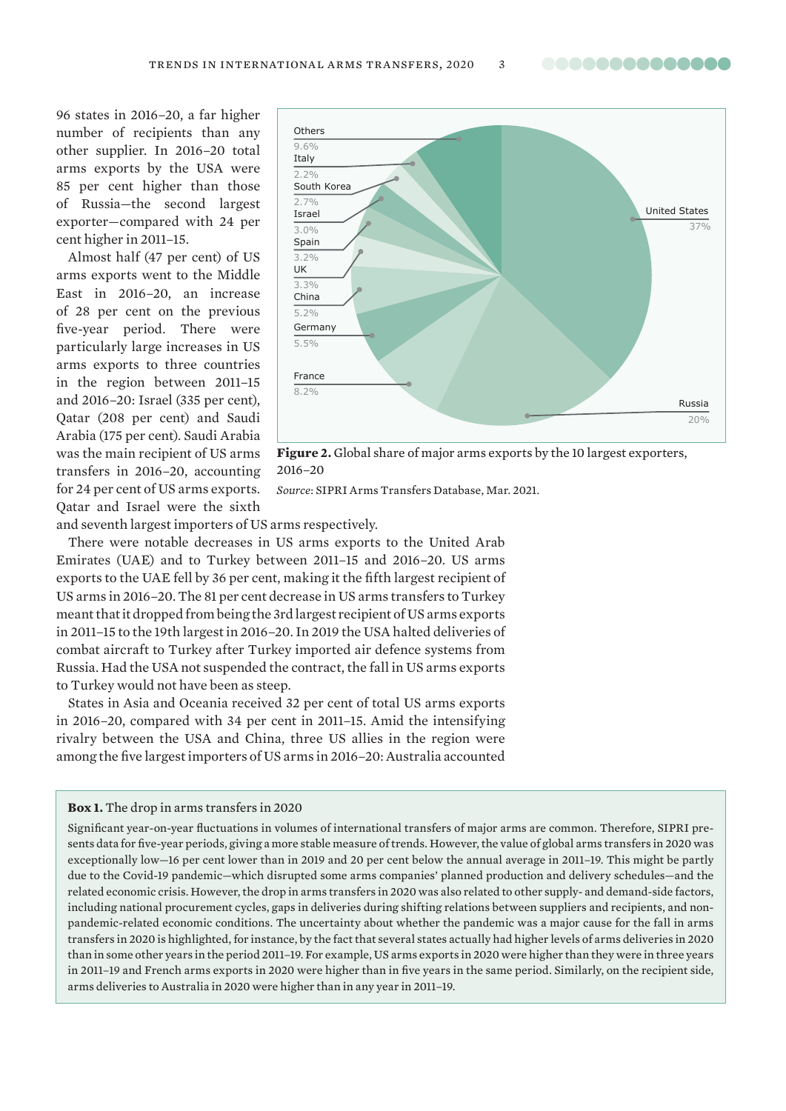..............

96 states in 2016–20, a far higher number of recipients than any other supplier. In 2016–20 total arms exports by the USA were 85 per cent higher than those of Russia—the second largest exporter—compared with 24 per cent higher in 2011–15.

Almost half (47 per cent) of US arms exports went to the Middle East in 2016–20, an increase of 28 per cent on the previous five-year period. There were particularly large increases in US arms exports to three countries in the region between 2011–15 and 2016–20: Israel (335 per cent), Qatar (208 per cent) and Saudi Arabia (175 per cent). Saudi Arabia was the main recipient of US arms transfers in 2016–20, accounting for 24 per cent of US arms exports. Qatar and Israel were the sixth



**Figure 2.** Global share of major arms exports by the 10 largest exporters, 2016–20

*Source*: [SIPRI Arms Transfers Database, Mar. 20](https://www.sipri.org/databases/armstransfers)21.

and seventh largest importers of US arms respectively.

There were notable decreases in US arms exports to the United Arab Emirates (UAE) and to Turkey between 2011–15 and 2016–20. US arms exports to the UAE fell by 36 per cent, making it the fifth largest recipient of US arms in 2016–20. The 81 per cent decrease in US arms transfers to Turkey meant that it dropped from being the 3rd largest recipient of US arms exports in 2011–15 to the 19th largest in 2016–20. In 2019 the USA halted deliveries of combat aircraft to Turkey after Turkey imported air defence systems from Russia. Had the USA not suspended the contract, the fall in US arms exports to Turkey would not have been as steep.

States in Asia and Oceania received 32 per cent of total US arms exports in 2016–20, compared with 34 per cent in 2011–15. Amid the intensifying rivalry between the USA and China, three US allies in the region were among the five largest importers of US arms in 2016–20: Australia accounted

**Box 1.** The drop in arms transfers in 2020

Significant year-on-year fluctuations in volumes of international transfers of major arms are common. Therefore, SIPRI presents data for five-year periods, giving a more stable measure of trends. However, the value of global arms transfers in 2020 was exceptionally low—16 per cent lower than in 2019 and 20 per cent below the annual average in 2011–19. This might be partly due to the Covid-19 pandemic—which disrupted some arms companies' planned production and delivery schedules—and the related economic crisis. However, the drop in arms transfers in 2020 was also related to other supply- and demand-side factors, including national procurement cycles, gaps in deliveries during shifting relations between suppliers and recipients, and nonpandemic-related economic conditions. The uncertainty about whether the pandemic was a major cause for the fall in arms transfers in 2020 is highlighted, for instance, by the fact that several states actually had higher levels of arms deliveries in 2020 than in some other years in the period 2011–19. For example, US arms exports in 2020 were higher than they were in three years in 2011–19 and French arms exports in 2020 were higher than in five years in the same period. Similarly, on the recipient side, arms deliveries to Australia in 2020 were higher than in any year in 2011–19.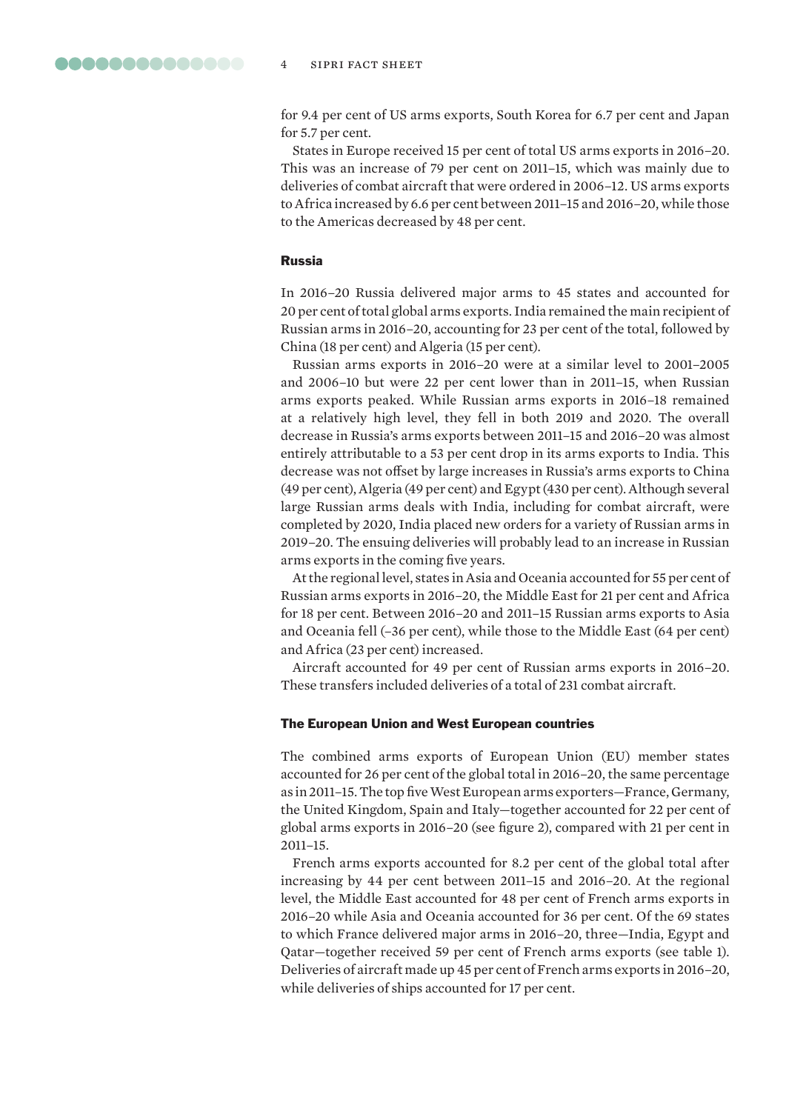for 9.4 per cent of US arms exports, South Korea for 6.7 per cent and Japan for 5.7 per cent.

States in Europe received 15 per cent of total US arms exports in 2016–20. This was an increase of 79 per cent on 2011–15, which was mainly due to deliveries of combat aircraft that were ordered in 2006–12. US arms exports to Africa increased by 6.6 per cent between 2011–15 and 2016–20, while those to the Americas decreased by 48 per cent.

## Russia

In 2016–20 Russia delivered major arms to 45 states and accounted for 20 per cent of total global arms exports. India remained the main recipient of Russian arms in 2016–20, accounting for 23 per cent of the total, followed by China (18 per cent) and Algeria (15 per cent).

Russian arms exports in 2016–20 were at a similar level to 2001–2005 and 2006–10 but were 22 per cent lower than in 2011–15, when Russian arms exports peaked. While Russian arms exports in 2016–18 remained at a relatively high level, they fell in both 2019 and 2020. The overall decrease in Russia's arms exports between 2011–15 and 2016–20 was almost entirely attributable to a 53 per cent drop in its arms exports to India. This decrease was not offset by large increases in Russia's arms exports to China (49 per cent), Algeria (49 per cent) and Egypt (430 per cent). Although several large Russian arms deals with India, including for combat aircraft, were completed by 2020, India placed new orders for a variety of Russian arms in 2019–20. The ensuing deliveries will probably lead to an increase in Russian arms exports in the coming five years.

At the regional level, states in Asia and Oceania accounted for 55 per cent of Russian arms exports in 2016–20, the Middle East for 21 per cent and Africa for 18 per cent. Between 2016–20 and 2011–15 Russian arms exports to Asia and Oceania fell (–36 per cent), while those to the Middle East (64 per cent) and Africa (23 per cent) increased.

Aircraft accounted for 49 per cent of Russian arms exports in 2016–20. These transfers included deliveries of a total of 231 combat aircraft.

#### The European Union and West European countries

The combined arms exports of European Union (EU) member states accounted for 26 per cent of the global total in 2016–20, the same percentage as in 2011–15. The top five West European arms exporters—France, Germany, the United Kingdom, Spain and Italy—together accounted for 22 per cent of global arms exports in 2016–20 (see figure 2), compared with 21 per cent in 2011–15.

French arms exports accounted for 8.2 per cent of the global total after increasing by 44 per cent between 2011–15 and 2016–20. At the regional level, the Middle East accounted for 48 per cent of French arms exports in 2016–20 while Asia and Oceania accounted for 36 per cent. Of the 69 states to which France delivered major arms in 2016–20, three—India, Egypt and Qatar—together received 59 per cent of French arms exports (see table 1). Deliveries of aircraft made up 45 per cent of French arms exports in 2016–20, while deliveries of ships accounted for 17 per cent.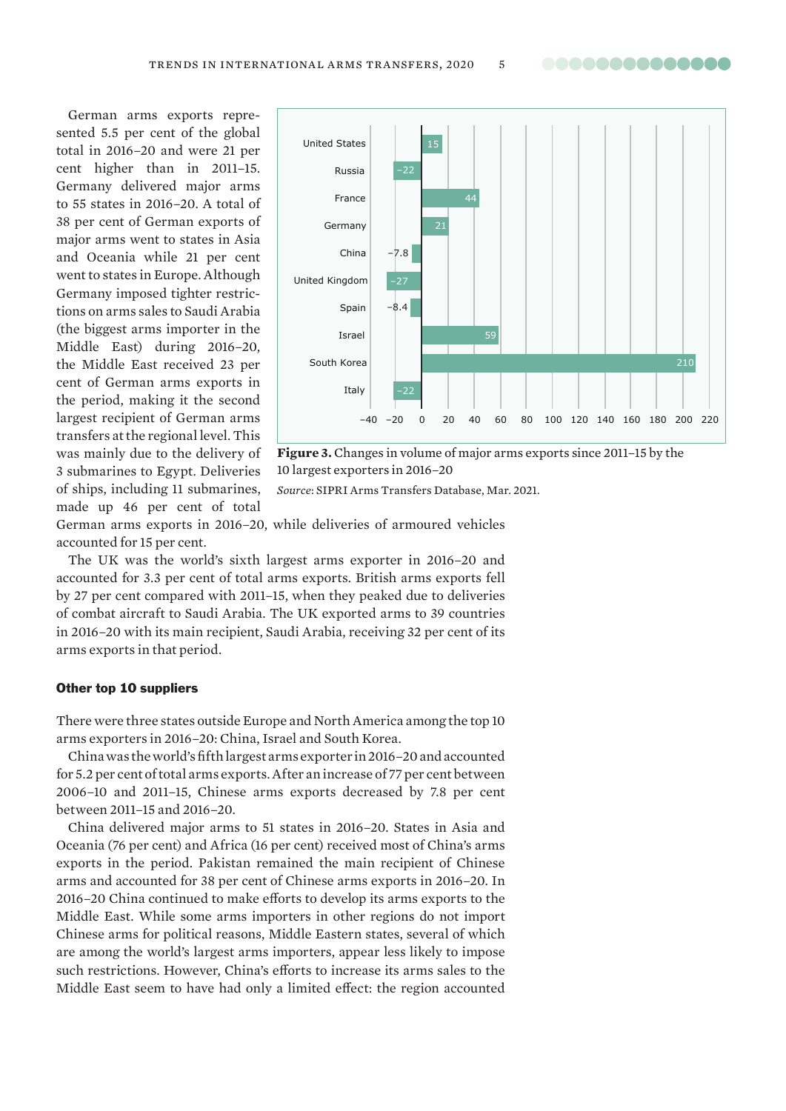..............

German arms exports represented 5.5 per cent of the global total in 2016–20 and were 21 per cent higher than in 2011–15. Germany delivered major arms to 55 states in 2016–20. A total of 38 per cent of German exports of major arms went to states in Asia and Oceania while 21 per cent went to states in Europe. Although Germany imposed tighter restrictions on arms sales to Saudi Arabia (the biggest arms importer in the Middle East) during 2016–20, the Middle East received 23 per cent of German arms exports in the period, making it the second largest recipient of German arms transfers at the regional level. This was mainly due to the delivery of 3 submarines to Egypt. Deliveries of ships, including 11 submarines, made up 46 per cent of total



**Figure 3.** Changes in volume of major arms exports since 2011–15 by the 10 largest exporters in 2016–20

*Source*: [SIPRI Arms Transfers Database, Mar. 202](https://www.sipri.org/databases/armstransfers)1.

German arms exports in 2016–20, while deliveries of armoured vehicles accounted for 15 per cent.

The UK was the world's sixth largest arms exporter in 2016–20 and accounted for 3.3 per cent of total arms exports. British arms exports fell by 27 per cent compared with 2011–15, when they peaked due to deliveries of combat aircraft to Saudi Arabia. The UK exported arms to 39 countries in 2016–20 with its main recipient, Saudi Arabia, receiving 32 per cent of its arms exports in that period.

#### Other top 10 suppliers

There were three states outside Europe and North America among the top 10 arms exporters in 2016–20: China, Israel and South Korea.

China was the world's fifth largest arms exporter in 2016–20 and accounted for 5.2 per cent of total arms exports. After an increase of 77 per cent between 2006–10 and 2011–15, Chinese arms exports decreased by 7.8 per cent between 2011–15 and 2016–20.

China delivered major arms to 51 states in 2016–20. States in Asia and Oceania (76 per cent) and Africa (16 per cent) received most of China's arms exports in the period. Pakistan remained the main recipient of Chinese arms and accounted for 38 per cent of Chinese arms exports in 2016–20. In 2016–20 China continued to make efforts to develop its arms exports to the Middle East. While some arms importers in other regions do not import Chinese arms for political reasons, Middle Eastern states, several of which are among the world's largest arms importers, appear less likely to impose such restrictions. However, China's efforts to increase its arms sales to the Middle East seem to have had only a limited effect: the region accounted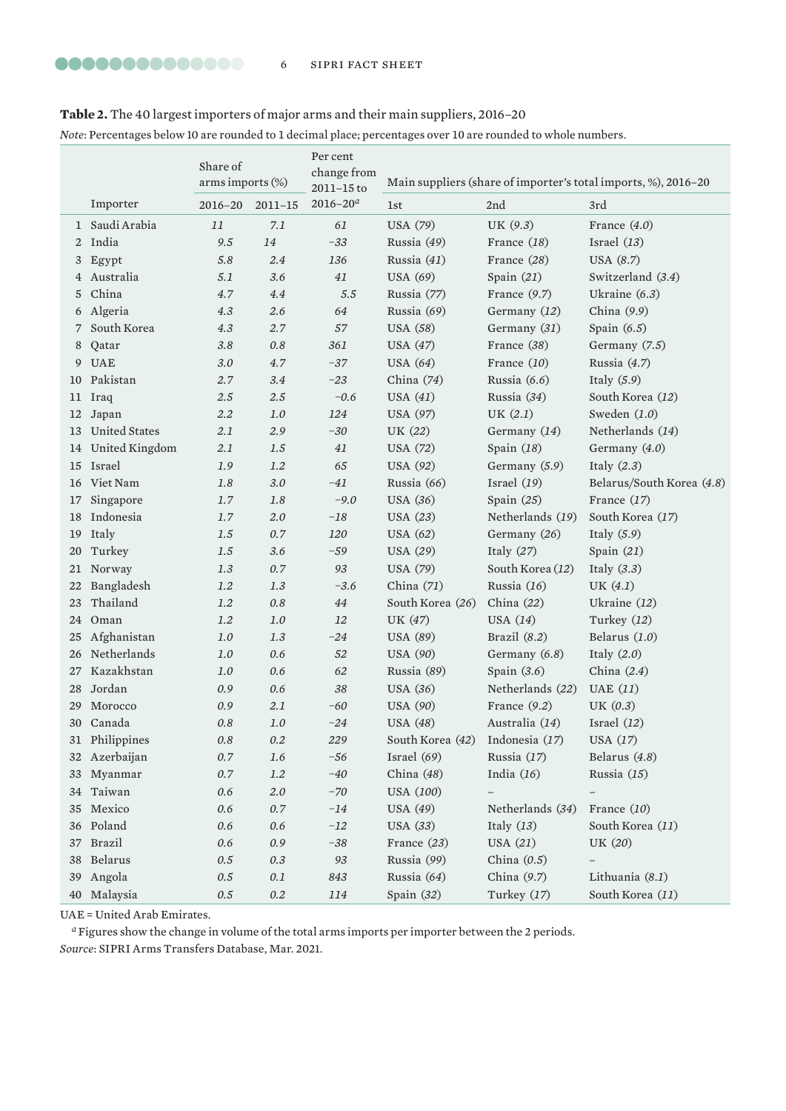# **Table 2.** The 40 largest importers of major arms and their main suppliers, 2016–20

*Note*: Percentages below 10 are rounded to 1 decimal place; percentages over 10 are rounded to whole numbers.

|    |                      | Share of<br>arms imports (%) |             | Per cent<br>change from<br>$2011 - 15$ to | Main suppliers (share of importer's total imports, %), 2016-20 |                  |                           |  |
|----|----------------------|------------------------------|-------------|-------------------------------------------|----------------------------------------------------------------|------------------|---------------------------|--|
|    | Importer             | 2016–20                      | $2011 - 15$ | $2016 - 20a$                              | 1st                                                            | 2nd              | 3rd                       |  |
| 1  | Saudi Arabia         | 11                           | 7.1         | 61                                        | <b>USA</b> (79)                                                | UK (9.3)         | France $(4.0)$            |  |
| 2  | India                | 9.5                          | 14          | $-33$                                     | Russia (49)                                                    | France (18)      | Israel $(13)$             |  |
| 3  | Egypt                | 5.8                          | 2.4         | 136                                       | Russia (41)                                                    | France $(28)$    | USA (8.7)                 |  |
| 4  | Australia            | 5.1                          | 3.6         | 41                                        | <b>USA</b> (69)                                                | Spain $(21)$     | Switzerland (3.4)         |  |
| 5  | China                | 4.7                          | 4.4         | $5.5\,$                                   | Russia (77)                                                    | France $(9.7)$   | Ukraine $(6.3)$           |  |
| 6  | Algeria              | 4.3                          | 2.6         | 64                                        | Russia (69)                                                    | Germany (12)     | China $(9.9)$             |  |
| 7  | South Korea          | 4.3                          | 2.7         | 57                                        | <b>USA</b> (58)                                                | Germany (31)     | Spain $(6.5)$             |  |
| 8  | Qatar                | 3.8                          | $0.8\,$     | 361                                       | <b>USA</b> (47)                                                | France (38)      | Germany (7.5)             |  |
| 9  | <b>UAE</b>           | 3.0                          | 4.7         | $-37$                                     | <b>USA</b> (64)                                                | France (10)      | Russia (4.7)              |  |
| 10 | Pakistan             | 2.7                          | 3.4         | $-23$                                     | China $(74)$                                                   | Russia $(6.6)$   | Italy $(5.9)$             |  |
| 11 | Iraq                 | 2.5                          | $2.5\,$     | $-0.6$                                    | USA $(41)$                                                     | Russia (34)      | South Korea (12)          |  |
| 12 | Japan                | 2.2                          | 1.0         | 124                                       | <b>USA (97)</b>                                                | UK $(2.1)$       | Sweden $(1.0)$            |  |
| 13 | <b>United States</b> | 2.1                          | 2.9         | $-30$                                     | UK (22)                                                        | Germany (14)     | Netherlands (14)          |  |
| 14 | United Kingdom       | 2.1                          | 1.5         | 41                                        | <b>USA</b> (72)                                                | Spain $(18)$     | Germany $(4.0)$           |  |
|    | 15 Israel            | 1.9                          | 1.2         | 65                                        | <b>USA</b> (92)                                                | Germany (5.9)    | Italy $(2.3)$             |  |
| 16 | Viet Nam             | 1.8                          | 3.0         | $-41$                                     | Russia (66)                                                    | Israel $(19)$    | Belarus/South Korea (4.8) |  |
| 17 | Singapore            | 1.7                          | $1.8\,$     | $-9.0$                                    | <b>USA</b> (36)                                                | Spain $(25)$     | France $(17)$             |  |
| 18 | Indonesia            | 1.7                          | 2.0         | $-18\,$                                   | <b>USA</b> (23)                                                | Netherlands (19) | South Korea (17)          |  |
| 19 | Italy                | 1.5                          | 0.7         | 120                                       | <b>USA</b> (62)                                                | Germany (26)     | Italy $(5.9)$             |  |
| 20 | Turkey               | 1.5                          | 3.6         | $-59$                                     | <b>USA (29)</b>                                                | Italy $(27)$     | Spain $(21)$              |  |
| 21 | Norway               | 1.3                          | 0.7         | 93                                        | <b>USA</b> (79)                                                | South Korea (12) | Italy $(3.3)$             |  |
| 22 | Bangladesh           | 1.2                          | 1.3         | $-3.6$                                    | China $(71)$                                                   | Russia (16)      | UK $(4.1)$                |  |
| 23 | Thailand             | 1.2                          | $0.8\,$     | 44                                        | South Korea (26)                                               | China (22)       | Ukraine $(12)$            |  |
| 24 | Oman                 | 1.2                          | $1.0$       | 12                                        | UK (47)                                                        | USA $(14)$       | Turkey (12)               |  |
| 25 | Afghanistan          | 1.0                          | 1.3         | $-24$                                     | <b>USA</b> (89)                                                | Brazil $(8.2)$   | Belarus $(1.0)$           |  |
| 26 | Netherlands          | 1.0                          | 0.6         | 52                                        | <b>USA</b> (90)                                                | Germany (6.8)    | Italy $(2.0)$             |  |
| 27 | Kazakhstan           | 1.0                          | 0.6         | 62                                        | Russia (89)                                                    | Spain $(3.6)$    | China $(2.4)$             |  |
| 28 | Jordan               | 0.9                          | 0.6         | 38                                        | <b>USA</b> (36)                                                | Netherlands (22) | UAE $(11)$                |  |
| 29 | Morocco              | 0.9                          | 2.1         | $-60$                                     | <b>USA</b> (90)                                                | France $(9.2)$   | UK $(0.3)$                |  |
|    | 30 Canada            | 0.8                          | $1.0$       | $-24$                                     | <b>USA</b> (48)                                                | Australia (14)   | Israel $(12)$             |  |
| 31 | Philippines          | 0.8                          | 0.2         | 229                                       | South Korea (42) Indonesia (17)                                |                  | USA (17)                  |  |
| 32 | Azerbaijan           | $0.7\,$                      | 1.6         | $-56$                                     | Israel $(69)$                                                  | Russia (17)      | Belarus (4.8)             |  |
| 33 | Myanmar              | $0.7\,$                      | $1.2\,$     | $-40$                                     | China (48)                                                     | India $(16)$     | Russia (15)               |  |
| 34 | Taiwan               | $0.6\,$                      | $2.0\,$     | $-70$                                     | USA (100)                                                      |                  | $\qquad \qquad -$         |  |
| 35 | Mexico               | 0.6                          | 0.7         | $-14$                                     | <b>USA</b> (49)                                                | Netherlands (34) | France (10)               |  |
| 36 | Poland               | $0.6\,$                      | $0.6\,$     | $-12$                                     | <b>USA</b> (33)                                                | Italy $(13)$     | South Korea (11)          |  |
| 37 | <b>Brazil</b>        | 0.6                          | $0.9$       | $-38$                                     | France (23)                                                    | <b>USA</b> (21)  | UK (20)                   |  |
| 38 | Belarus              | $0.5\,$                      | $0.3\,$     | 93                                        | Russia (99)                                                    | China $(0.5)$    |                           |  |
| 39 | Angola               | 0.5                          | $0.1\,$     | 843                                       | Russia (64)                                                    | China (9.7)      | Lithuania (8.1)           |  |
| 40 | Malaysia             | $0.5\,$                      | $0.2\,$     | 114                                       | Spain (32)                                                     | Turkey (17)      | South Korea (11)          |  |

UAE = United Arab Emirates.

*<sup>a</sup>*Figures show the change in volume of the total arms imports per importer between the 2 periods. *Source*: [SIPRI Arms Transfers Database, Mar. 20](https://www.sipri.org/databases/armstransfers)21.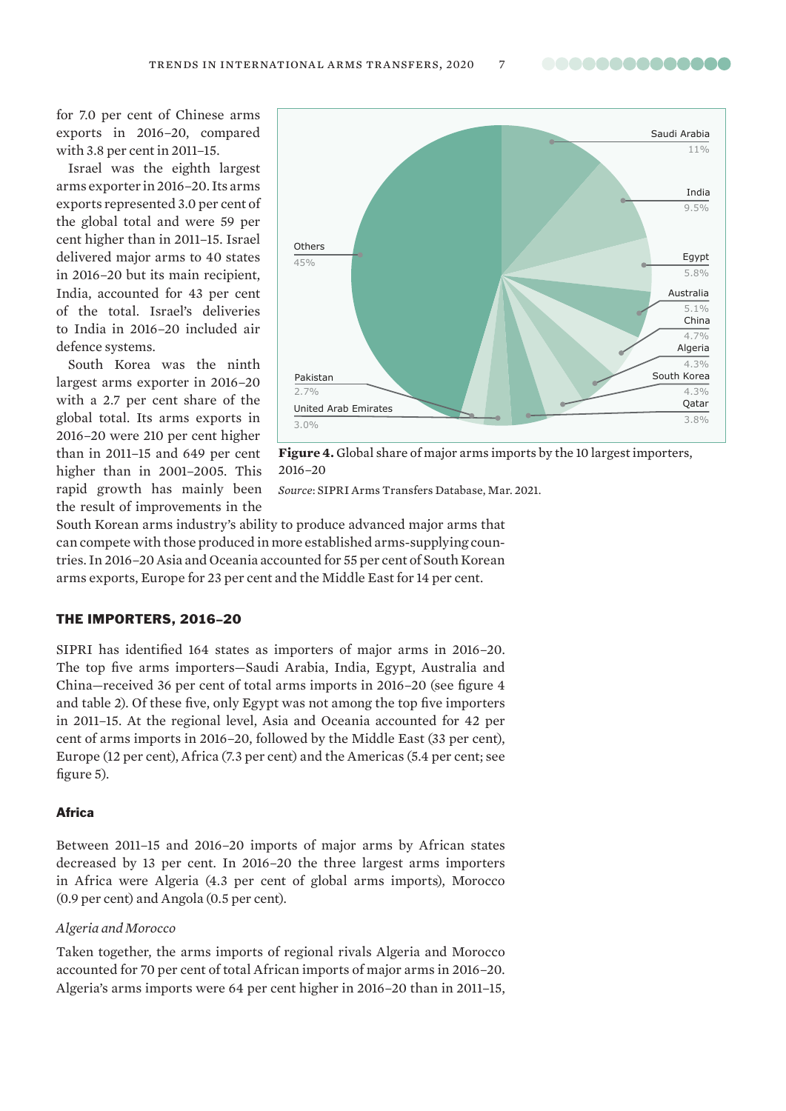..............

for 7.0 per cent of Chinese arms exports in 2016–20, compared with 3.8 per cent in 2011–15.

Israel was the eighth largest arms exporter in 2016–20. Its arms exports represented 3.0 per cent of the global total and were 59 per cent higher than in 2011–15. Israel delivered major arms to 40 states in 2016–20 but its main recipient, India, accounted for 43 per cent of the total. Israel's deliveries to India in 2016–20 included air defence systems.

South Korea was the ninth largest arms exporter in 2016–20 with a 2.7 per cent share of the global total. Its arms exports in 2016–20 were 210 per cent higher than in 2011–15 and 649 per cent higher than in 2001–2005. This rapid growth has mainly been the result of improvements in the



**Figure 4.** Global share of major arms imports by the 10 largest importers, 2016–20

*Source*: [SIPRI Arms Transfers Database, Mar. 202](https://www.sipri.org/databases/armstransfers)1.

South Korean arms industry's ability to produce advanced major arms that can compete with those produced in more established arms-supplying countries. In 2016–20 Asia and Oceania accounted for 55 per cent of South Korean arms exports, Europe for 23 per cent and the Middle East for 14 per cent.

## THE IMPORTERS, 2016–20

SIPRI has identified 164 states as importers of major arms in 2016–20. The top five arms importers—Saudi Arabia, India, Egypt, Australia and China—received 36 per cent of total arms imports in 2016–20 (see figure 4 and table 2). Of these five, only Egypt was not among the top five importers in 2011–15. At the regional level, Asia and Oceania accounted for 42 per cent of arms imports in 2016–20, followed by the Middle East (33 per cent), Europe (12 per cent), Africa (7.3 per cent) and the Americas (5.4 per cent; see figure 5).

## Africa

Between 2011–15 and 2016–20 imports of major arms by African states decreased by 13 per cent. In 2016–20 the three largest arms importers in Africa were Algeria (4.3 per cent of global arms imports), Morocco (0.9 per cent) and Angola (0.5 per cent).

## *Algeria and Morocco*

Taken together, the arms imports of regional rivals Algeria and Morocco accounted for 70 per cent of total African imports of major arms in 2016–20. Algeria's arms imports were 64 per cent higher in 2016–20 than in 2011–15,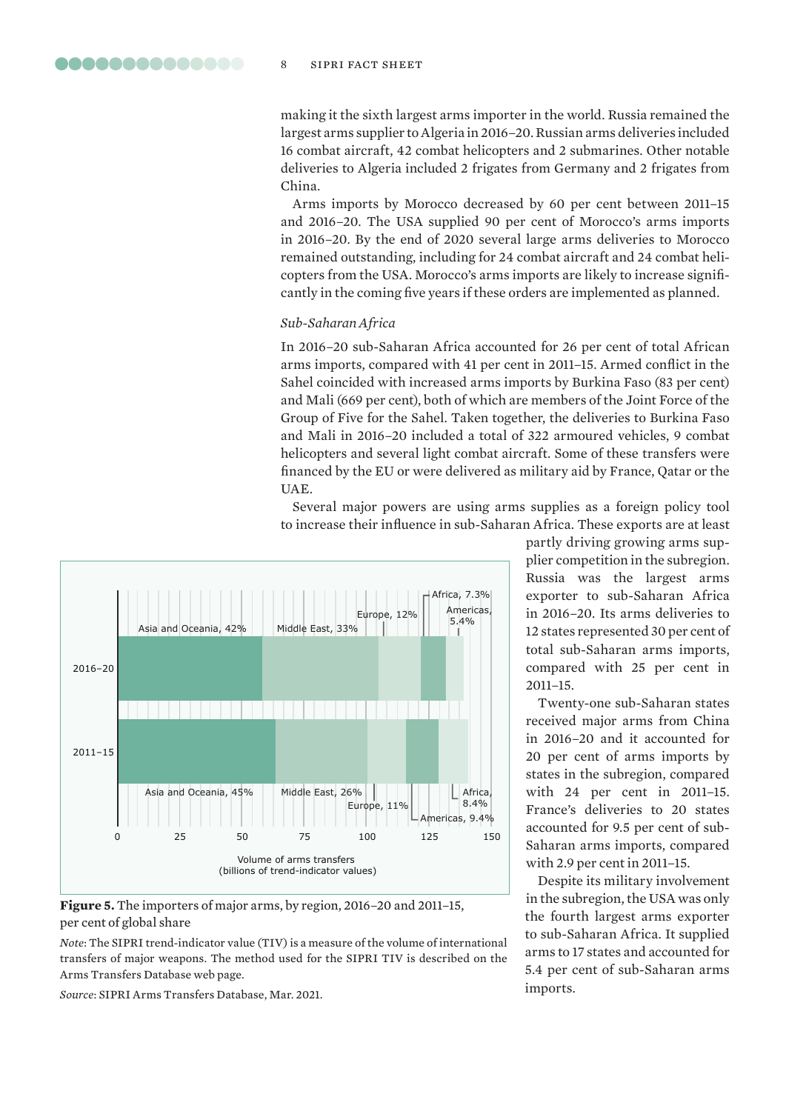making it the sixth largest arms importer in the world. Russia remained the largest arms supplier to Algeria in 2016–20. Russian arms deliveries included 16 combat aircraft, 42 combat helicopters and 2 submarines. Other notable deliveries to Algeria included 2 frigates from Germany and 2 frigates from China.

Arms imports by Morocco decreased by 60 per cent between 2011–15 and 2016–20. The USA supplied 90 per cent of Morocco's arms imports in 2016–20. By the end of 2020 several large arms deliveries to Morocco remained outstanding, including for 24 combat aircraft and 24 combat helicopters from the USA. Morocco's arms imports are likely to increase significantly in the coming five years if these orders are implemented as planned.

## *Sub-Saharan Africa*

In 2016–20 sub-Saharan Africa accounted for 26 per cent of total African arms imports, compared with 41 per cent in 2011–15. Armed conflict in the Sahel coincided with increased arms imports by Burkina Faso (83 per cent) and Mali (669 per cent), both of which are members of the Joint Force of the Group of Five for the Sahel. Taken together, the deliveries to Burkina Faso and Mali in 2016–20 included a total of 322 armoured vehicles, 9 combat helicopters and several light combat aircraft. Some of these transfers were financed by the EU or were delivered as military aid by France, Qatar or the UAE.

Several major powers are using arms supplies as a foreign policy tool to increase their influence in sub-Saharan Africa. These exports are at least



**Figure 5.** The importers of major arms, by region, 2016–20 and 2011–15, per cent of global share

*Note*: The SIPRI trend-indicator value (TIV) is a measure of the volume of international transfers of major weapons. The method used for the SIPRI TIV is described on the [Arms Transfers Database web page](https://www.sipri.org/databases/armstransfers/sources-and-methods).

*Source*: [SIPRI Arms Transfers Database, Mar. 20](https://www.sipri.org/databases/armstransfers)21.

partly driving growing arms supplier competition in the subregion. Russia was the largest arms exporter to sub-Saharan Africa in 2016–20. Its arms deliveries to 12 states represented 30 per cent of total sub-Saharan arms imports, compared with 25 per cent in 2011–15.

Twenty-one sub-Saharan states received major arms from China in 2016–20 and it accounted for 20 per cent of arms imports by states in the subregion, compared with 24 per cent in 2011–15. France's deliveries to 20 states accounted for 9.5 per cent of sub-Saharan arms imports, compared with 2.9 per cent in 2011–15.

Despite its military involvement in the subregion, the USA was only the fourth largest arms exporter to sub-Saharan Africa. It supplied arms to 17 states and accounted for 5.4 per cent of sub-Saharan arms imports.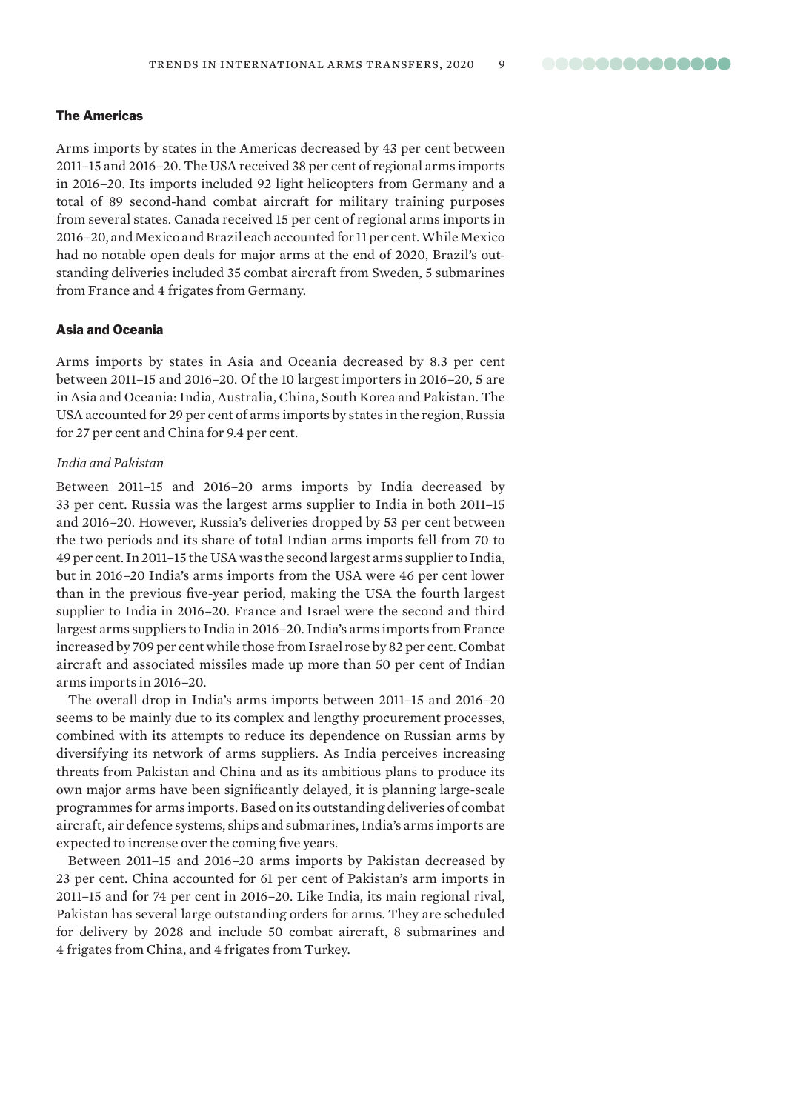## The Americas

Arms imports by states in the Americas decreased by 43 per cent between 2011–15 and 2016–20. The USA received 38 per cent of regional arms imports in 2016–20. Its imports included 92 light helicopters from Germany and a total of 89 second-hand combat aircraft for military training purposes from several states. Canada received 15 per cent of regional arms imports in 2016–20, and Mexico and Brazil each accounted for 11 per cent. While Mexico had no notable open deals for major arms at the end of 2020, Brazil's outstanding deliveries included 35 combat aircraft from Sweden, 5 submarines from France and 4 frigates from Germany.

## Asia and Oceania

Arms imports by states in Asia and Oceania decreased by 8.3 per cent between 2011–15 and 2016–20. Of the 10 largest importers in 2016–20, 5 are in Asia and Oceania: India, Australia, China, South Korea and Pakistan. The USA accounted for 29 per cent of arms imports by states in the region, Russia for 27 per cent and China for 9.4 per cent.

#### *India and Pakistan*

Between 2011–15 and 2016–20 arms imports by India decreased by 33 per cent. Russia was the largest arms supplier to India in both 2011–15 and 2016–20. However, Russia's deliveries dropped by 53 per cent between the two periods and its share of total Indian arms imports fell from 70 to 49 per cent. In 2011–15 the USA was the second largest arms supplier to India, but in 2016–20 India's arms imports from the USA were 46 per cent lower than in the previous five-year period, making the USA the fourth largest supplier to India in 2016–20. France and Israel were the second and third largest arms suppliers to India in 2016–20. India's arms imports from France increased by 709 per cent while those from Israel rose by 82 per cent. Combat aircraft and associated missiles made up more than 50 per cent of Indian arms imports in 2016–20.

The overall drop in India's arms imports between 2011–15 and 2016–20 seems to be mainly due to its complex and lengthy procurement processes, combined with its attempts to reduce its dependence on Russian arms by diversifying its network of arms suppliers. As India perceives increasing threats from Pakistan and China and as its ambitious plans to produce its own major arms have been significantly delayed, it is planning large-scale programmes for arms imports. Based on its outstanding deliveries of combat aircraft, air defence systems, ships and submarines, India's arms imports are expected to increase over the coming five years.

Between 2011–15 and 2016–20 arms imports by Pakistan decreased by 23 per cent. China accounted for 61 per cent of Pakistan's arm imports in 2011–15 and for 74 per cent in 2016–20. Like India, its main regional rival, Pakistan has several large outstanding orders for arms. They are scheduled for delivery by 2028 and include 50 combat aircraft, 8 submarines and 4 frigates from China, and 4 frigates from Turkey.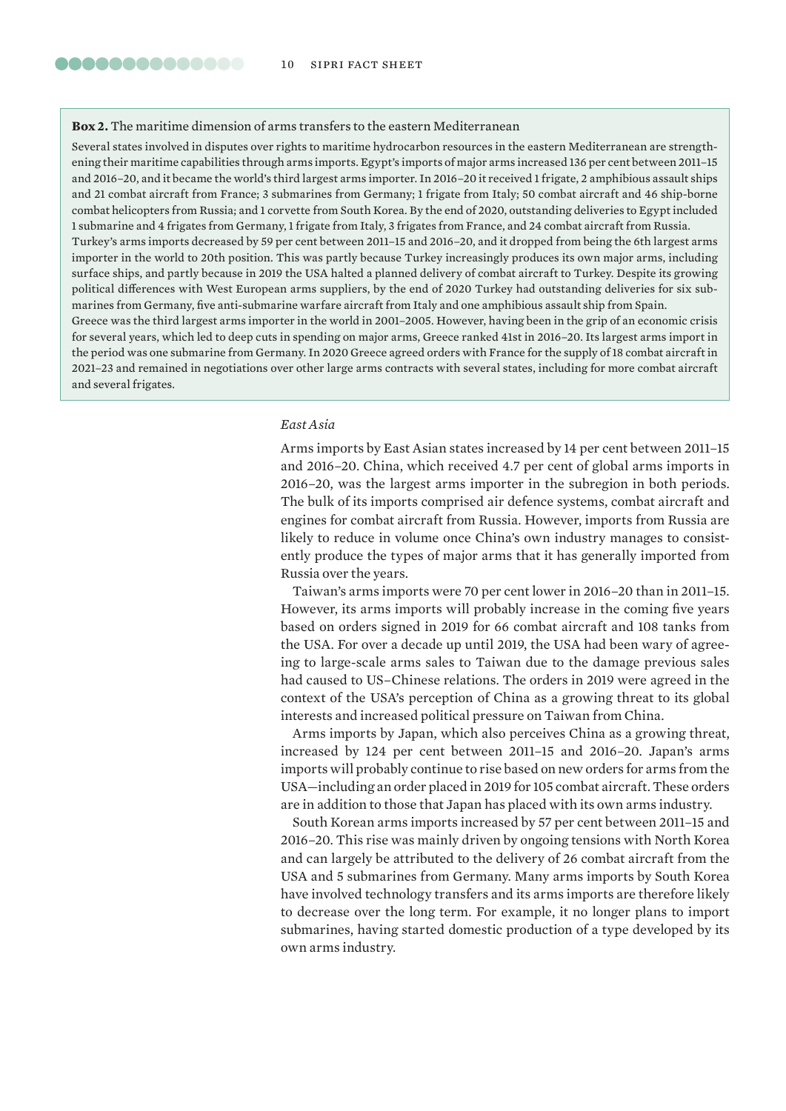#### **Box 2.** The maritime dimension of arms transfers to the eastern Mediterranean

Several states involved in disputes over rights to maritime hydrocarbon resources in the eastern Mediterranean are strengthening their maritime capabilities through arms imports. Egypt's imports of major arms increased 136 per cent between 2011–15 and 2016–20, and it became the world's third largest arms importer. In 2016–20 it received 1 frigate, 2 amphibious assault ships and 21 combat aircraft from France; 3 submarines from Germany; 1 frigate from Italy; 50 combat aircraft and 46 ship-borne combat helicopters from Russia; and 1 corvette from South Korea. By the end of 2020, outstanding deliveries to Egypt included 1 submarine and 4 frigates from Germany, 1 frigate from Italy, 3 frigates from France, and 24 combat aircraft from Russia. Turkey's arms imports decreased by 59 per cent between 2011–15 and 2016–20, and it dropped from being the 6th largest arms importer in the world to 20th position. This was partly because Turkey increasingly produces its own major arms, including surface ships, and partly because in 2019 the USA halted a planned delivery of combat aircraft to Turkey. Despite its growing political differences with West European arms suppliers, by the end of 2020 Turkey had outstanding deliveries for six submarines from Germany, five anti-submarine warfare aircraft from Italy and one amphibious assault ship from Spain. Greece was the third largest arms importer in the world in 2001–2005. However, having been in the grip of an economic crisis for several years, which led to deep cuts in spending on major arms, Greece ranked 41st in 2016–20. Its largest arms import in the period was one submarine from Germany. In 2020 Greece agreed orders with France for the supply of 18 combat aircraft in 2021–23 and remained in negotiations over other large arms contracts with several states, including for more combat aircraft and several frigates.

#### *East Asia*

Arms imports by East Asian states increased by 14 per cent between 2011–15 and 2016–20. China, which received 4.7 per cent of global arms imports in 2016–20, was the largest arms importer in the subregion in both periods. The bulk of its imports comprised air defence systems, combat aircraft and engines for combat aircraft from Russia. However, imports from Russia are likely to reduce in volume once China's own industry manages to consistently produce the types of major arms that it has generally imported from Russia over the years.

Taiwan's arms imports were 70 per cent lower in 2016–20 than in 2011–15. However, its arms imports will probably increase in the coming five years based on orders signed in 2019 for 66 combat aircraft and 108 tanks from the USA. For over a decade up until 2019, the USA had been wary of agreeing to large-scale arms sales to Taiwan due to the damage previous sales had caused to US–Chinese relations. The orders in 2019 were agreed in the context of the USA's perception of China as a growing threat to its global interests and increased political pressure on Taiwan from China.

Arms imports by Japan, which also perceives China as a growing threat, increased by 124 per cent between 2011–15 and 2016–20. Japan's arms imports will probably continue to rise based on new orders for arms from the USA—including an order placed in 2019 for 105 combat aircraft. These orders are in addition to those that Japan has placed with its own arms industry.

South Korean arms imports increased by 57 per cent between 2011–15 and 2016–20. This rise was mainly driven by ongoing tensions with North Korea and can largely be attributed to the delivery of 26 combat aircraft from the USA and 5 submarines from Germany. Many arms imports by South Korea have involved technology transfers and its arms imports are therefore likely to decrease over the long term. For example, it no longer plans to import submarines, having started domestic production of a type developed by its own arms industry.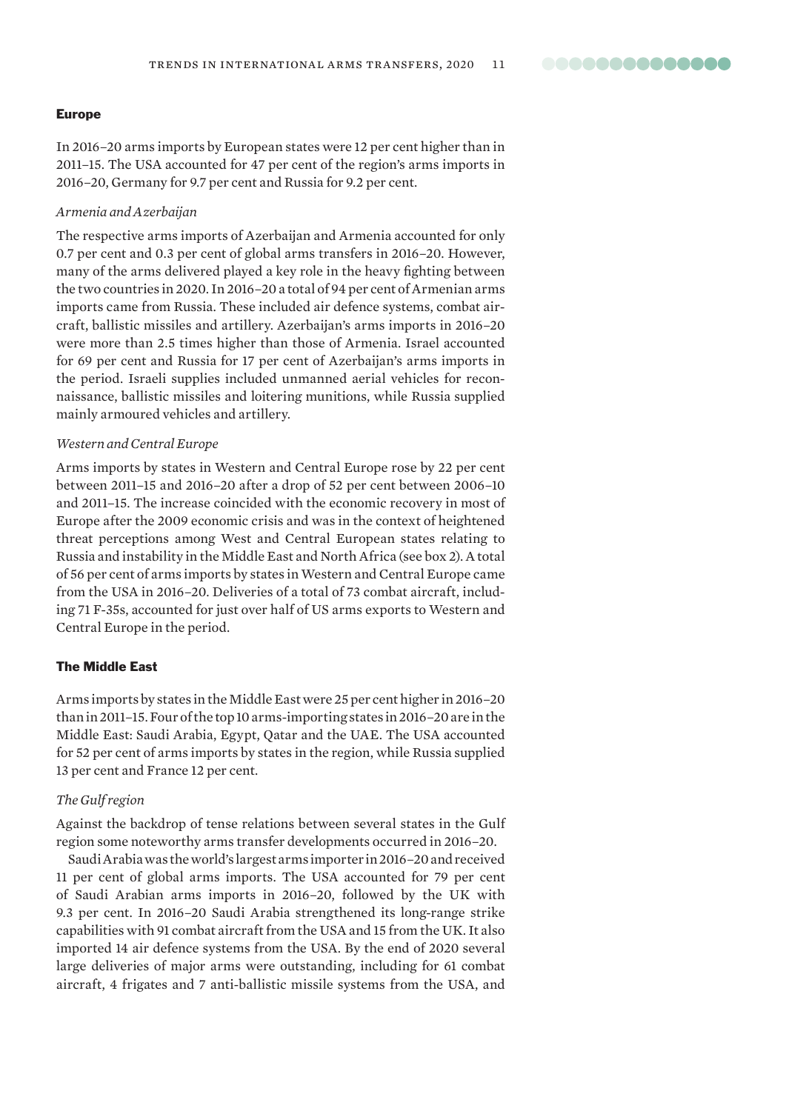#### Europe

In 2016–20 arms imports by European states were 12 per cent higher than in 2011–15. The USA accounted for 47 per cent of the region's arms imports in 2016–20, Germany for 9.7 per cent and Russia for 9.2 per cent.

#### *Armenia and Azerbaijan*

The respective arms imports of Azerbaijan and Armenia accounted for only 0.7 per cent and 0.3 per cent of global arms transfers in 2016–20. However, many of the arms delivered played a key role in the heavy fighting between the two countries in 2020. In 2016–20 a total of 94 per cent of Armenian arms imports came from Russia. These included air defence systems, combat aircraft, ballistic missiles and artillery. Azerbaijan's arms imports in 2016–20 were more than 2.5 times higher than those of Armenia. Israel accounted for 69 per cent and Russia for 17 per cent of Azerbaijan's arms imports in the period. Israeli supplies included unmanned aerial vehicles for reconnaissance, ballistic missiles and loitering munitions, while Russia supplied mainly armoured vehicles and artillery.

#### *Western and Central Europe*

Arms imports by states in Western and Central Europe rose by 22 per cent between 2011–15 and 2016–20 after a drop of 52 per cent between 2006–10 and 2011–15. The increase coincided with the economic recovery in most of Europe after the 2009 economic crisis and was in the context of heightened threat perceptions among West and Central European states relating to Russia and instability in the Middle East and North Africa (see box 2). A total of 56 per cent of arms imports by states in Western and Central Europe came from the USA in 2016–20. Deliveries of a total of 73 combat aircraft, including 71 F-35s, accounted for just over half of US arms exports to Western and Central Europe in the period.

#### The Middle East

Arms imports by states in the Middle East were 25 per cent higher in 2016–20 than in 2011–15. Four of the top 10 arms-importing states in 2016–20 are in the Middle East: Saudi Arabia, Egypt, Qatar and the UAE. The USA accounted for 52 per cent of arms imports by states in the region, while Russia supplied 13 per cent and France 12 per cent.

## *The Gulf region*

Against the backdrop of tense relations between several states in the Gulf region some noteworthy arms transfer developments occurred in 2016–20.

Saudi Arabia was the world's largest arms importer in 2016–20 and received 11 per cent of global arms imports. The USA accounted for 79 per cent of Saudi Arabian arms imports in 2016–20, followed by the UK with 9.3 per cent. In 2016–20 Saudi Arabia strengthened its long-range strike capabilities with 91 combat aircraft from the USA and 15 from the UK. It also imported 14 air defence systems from the USA. By the end of 2020 several large deliveries of major arms were outstanding, including for 61 combat aircraft, 4 frigates and 7 anti-ballistic missile systems from the USA, and